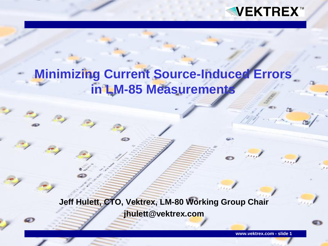

# **Minimizing Current Source-Induced Errors in LM-85 Measurements**

**Jeff Hulett, CTO, Vektrex, LM-80 Working Group Chair jhulett@vektrex.com**

**www.vektrex.com - slide**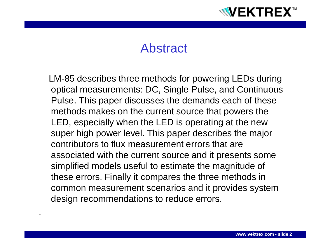

#### Abstract

 LM-85 describes three methods for powering LEDs during optical measurements: DC, Single Pulse, and Continuous Pulse. This paper discusses the demands each of these methods makes on the current source that powers the LED, especially when the LED is operating at the new super high power level. This paper describes the major contributors to flux measurement errors that are associated with the current source and it presents some simplified models useful to estimate the magnitude of these errors. Finally it compares the three methods in common measurement scenarios and it provides system design recommendations to reduce errors.

.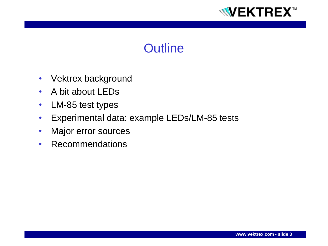

#### **Outline**

- Vektrex background
- A bit about LEDs
- LM-85 test types
- Experimental data: example LEDs/LM-85 tests
- Major error sources
- Recommendations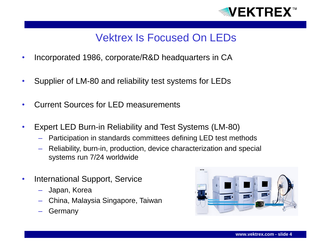

#### Vektrex Is Focused On LEDs

- Incorporated 1986, corporate/R&D headquarters in CA
- Supplier of LM-80 and reliability test systems for LEDs
- Current Sources for LED measurements
- Expert LED Burn-in Reliability and Test Systems (LM-80)
	- Participation in standards committees defining LED test methods
	- Reliability, burn-in, production, device characterization and special systems run 7/24 worldwide
- International Support, Service
	- Japan, Korea
	- China, Malaysia Singapore, Taiwan
	- **Germany**

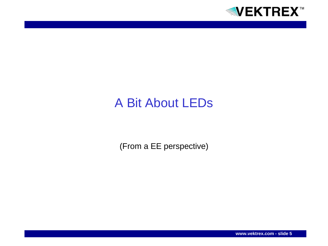

### A Bit About LEDs

(From a EE perspective)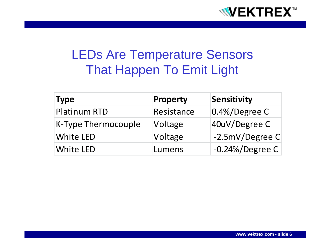

## LEDs Are Temperature Sensors That Happen To Emit Light

| <b>Type</b>         | <b>Property</b> | Sensitivity       |
|---------------------|-----------------|-------------------|
| <b>Platinum RTD</b> | Resistance      | $0.4\%/$ Degree C |
| K-Type Thermocouple | Voltage         | 40uV/Degree C     |
| White LED           | Voltage         | -2.5mV/Degree C   |
| White LED           | Lumens          | -0.24%/Degree C   |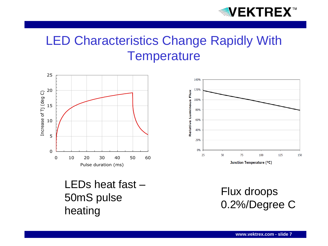

### LED Characteristics Change Rapidly With **Temperature**





LEDs heat fast – 50mS pulse heating

Flux droops 0.2%/Degree C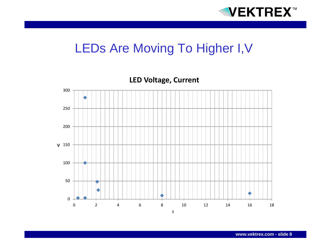

#### LEDs Are Moving To Higher I,V

0 50 100 150 **V** 200 250 300 0 2 4 6 8 10 12 14 16 18 **I LED Voltage, Current**

**www.vektrex.com - slide 8**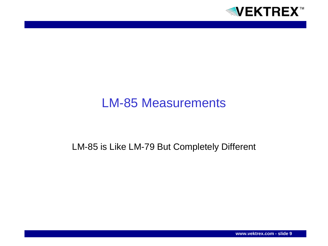

### LM-85 Measurements

#### LM-85 is Like LM-79 But Completely Different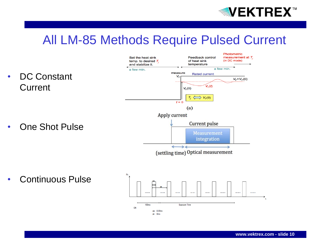

#### All LM-85 Methods Require Pulsed Current

DC Constant **Current** 

• One Shot Pulse



• Continuous Pulse

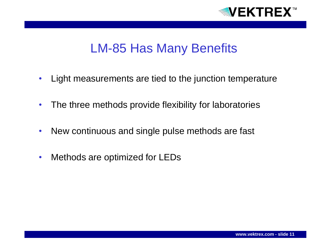

#### LM-85 Has Many Benefits

- Light measurements are tied to the junction temperature
- The three methods provide flexibility for laboratories
- New continuous and single pulse methods are fast
- Methods are optimized for LEDs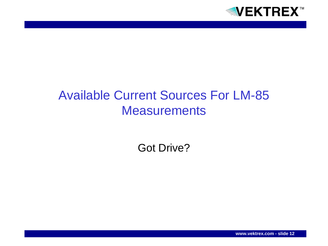

### Available Current Sources For LM-85 **Measurements**

Got Drive?

**www.vektrex.com - slide 12**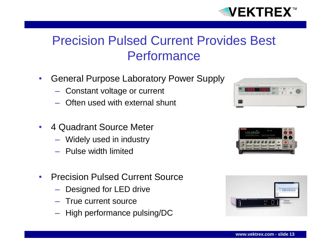

### Precision Pulsed Current Provides Best **Performance**

- General Purpose Laboratory Power Supply
	- Constant voltage or current
	- Often used with external shunt
- 4 Quadrant Source Meter
	- Widely used in industry
	- Pulse width limited
- Precision Pulsed Current Source
	- Designed for LED drive
	- True current source
	- High performance pulsing/DC





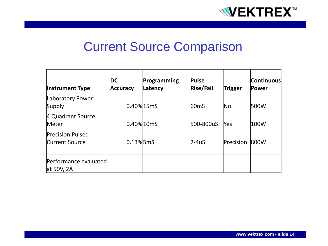

#### Current Source Comparison

| <b>Instrument Type</b>                           | DC<br><b>Accuracy</b> | Programming<br>Latency | Pulse<br><b>Rise/Fall</b> | Trigger   | <b>Continuous</b><br><b>Power</b> |
|--------------------------------------------------|-----------------------|------------------------|---------------------------|-----------|-----------------------------------|
| Laboratory Power<br>Supply                       | 0.40% 15mS            |                        | 60mS                      | No.       | 500W                              |
| 4 Quadrant Source<br>Meter                       | 0.40% 10mS            |                        | 500-800uS                 | Yes       | 100W                              |
| <b>Precision Pulsed</b><br><b>Current Source</b> | $0.13\%$ 5mS          |                        | $2-4uS$                   | Precision | 800W                              |
| Performance evaluated<br>at 50V, $2A$            |                       |                        |                           |           |                                   |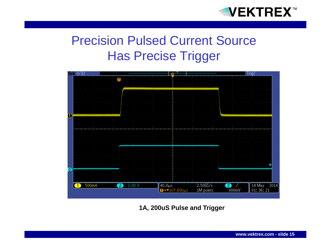

### Precision Pulsed Current Source Has Precise Trigger



**1A, 200uS Pulse and Trigger**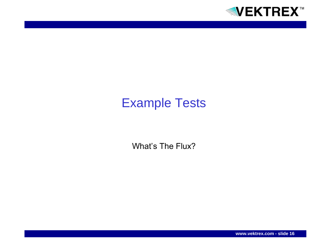

### Example Tests

What's The Flux?

**www.vektrex.com - slide 16**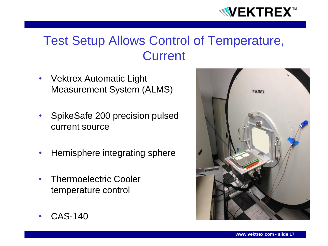

### Test Setup Allows Control of Temperature, **Current**

- Vektrex Automatic Light Measurement System (ALMS)
- SpikeSafe 200 precision pulsed current source
- Hemisphere integrating sphere
- Thermoelectric Cooler temperature control



• CAS-140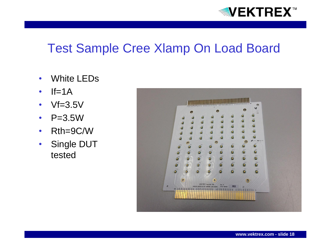

#### Test Sample Cree Xlamp On Load Board

- White LEDs
- $\cdot$  If=1A
- Vf=3.5V
- P=3.5W
- Rth=9C/W
- Single DUT tested

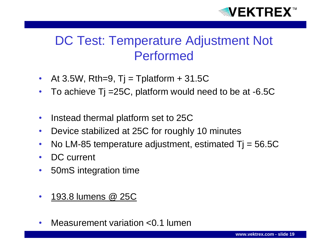

#### DC Test: Temperature Adjustment Not Performed

- At 3.5W, Rth=9,  $Ti = T$ platform + 31.5C
- To achieve Tj =  $25C$ , platform would need to be at  $-6.5C$
- Instead thermal platform set to 25C
- Device stabilized at 25C for roughly 10 minutes
- No LM-85 temperature adjustment, estimated  $Ti = 56.5C$
- DC current
- 50mS integration time
- 193.8 lumens @ 25C
- Measurement variation <0.1 lumen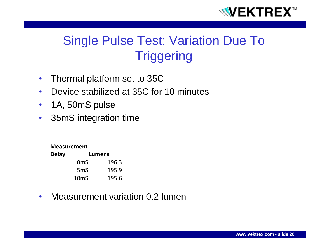

### Single Pulse Test: Variation Due To **Triggering**

- Thermal platform set to 35C
- Device stabilized at 35C for 10 minutes
- 1A, 50mS pulse
- 35mS integration time

| Measurement      |        |
|------------------|--------|
| Delay            | Lumens |
| 0mSl             | 196.3  |
| 5 <sub>m</sub> S | 195.9  |
| 10 <sub>ms</sub> | 195.6  |

• Measurement variation 0.2 lumen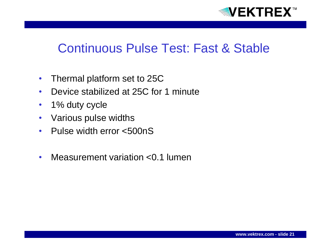

#### Continuous Pulse Test: Fast & Stable

- Thermal platform set to 25C
- Device stabilized at 25C for 1 minute
- 1% duty cycle
- Various pulse widths
- Pulse width error <500nS
- Measurement variation < 0.1 lumen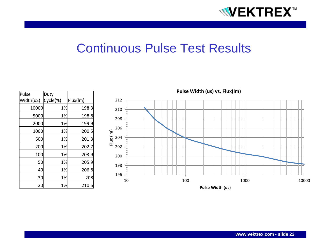

#### Continuous Pulse Test Results

| Pulse     | Duty     |          |
|-----------|----------|----------|
| Width(uS) | Cycle(%) | Flux(lm) |
| 10000     | 1%       | 198.3    |
| 5000      | 1%       | 198.8    |
| 2000      | 1%       | 199.9    |
| 1000      | 1%       | 200.5    |
| 500       | 1%       | 201.3    |
| 200       | 1%       | 202.7    |
| 100       | 1%       | 203.9    |
| 50        | 1%       | 205.9    |
| 40        | 1%       | 206.8    |
| 30        | 1%       | 208      |
| 20        | 1%       | 210.5    |

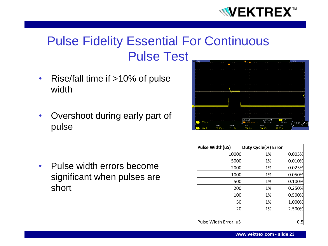

## Pulse Fidelity Essential For Continuous Pulse Test

- Rise/fall time if >10% of pulse width
- Overshoot during early part of pulse

• Pulse width errors become significant when pulses are short



| Pulse Width(uS)       | Duty Cycle(%) Error |        |
|-----------------------|---------------------|--------|
| 10000                 | 1%                  | 0.005% |
| 5000                  | 1%                  | 0.010% |
| 2000                  | 1%                  | 0.025% |
| 1000                  | 1%                  | 0.050% |
| 500                   | 1%                  | 0.100% |
| 200                   | 1%                  | 0.250% |
| 100                   | 1%                  | 0.500% |
| 50                    | 1%                  | 1.000% |
| 20                    | 1%                  | 2.500% |
|                       |                     |        |
| Pulse Width Error, uS |                     |        |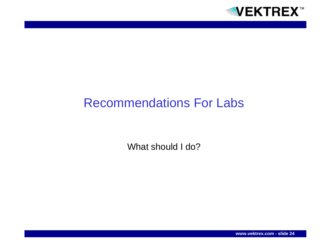

### Recommendations For Labs

What should I do?

**www.vektrex.com - slide 24**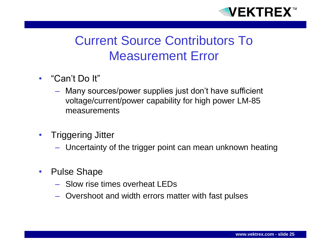

### Current Source Contributors To Measurement Error

- "Can't Do It"
	- Many sources/power supplies just don't have sufficient voltage/current/power capability for high power LM-85 measurements
- Triggering Jitter
	- Uncertainty of the trigger point can mean unknown heating
- Pulse Shape
	- Slow rise times overheat LEDs
	- Overshoot and width errors matter with fast pulses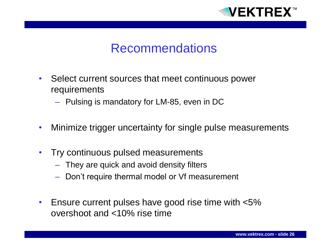

#### Recommendations

- Select current sources that meet continuous power requirements
	- Pulsing is mandatory for LM-85, even in DC
- Minimize trigger uncertainty for single pulse measurements
- Try continuous pulsed measurements
	- They are quick and avoid density filters
	- Don't require thermal model or Vf measurement
- Ensure current pulses have good rise time with <5% overshoot and <10% rise time